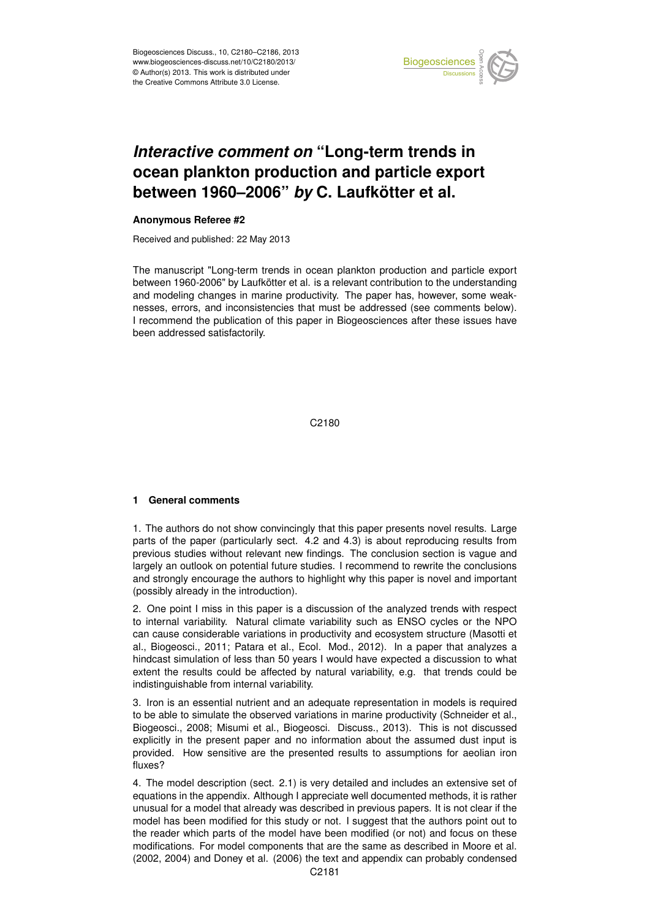

### Earth System ocean plankton production and particle export '<br>ti  $\mathbf 1$ *Interactive comment on* "Long-term trends in between 1960–2006" *by* C. Laufkötter et al.

#### $\mathbf{I}$ **Anonymous Referee #2**

Received and published: 22 May 2013

The manuscript "Long-term trends in ocean plankton production and particle export between 1960-2006" by Laufkötter et al. is a relevant contribution to the understanding C<br>C<br>C le<br>s and modeling changes in marine productivity. The paper has, however, some weakation of this naner in Biogeosciences after these issu been addressed satisfactorily.  $\epsilon$ I recommend the publication of this paper in Biogeosciences after these issues have<br>been addressed satisfactorily  $\overline{a}$ nesses, errors, and inconsistencies that must be addressed (see comments below).

> C<br>C C2180

# **1 General comments**

1. The authors do not show convincingly that this paper presents novel results. Large parts of the paper (particularly sect. 4.2 and 4.3) is about reproducing results from previous studies without relevant new findings. The conclusion section is vague and largely an outlook on potential future studies. I recommend to rewrite the conclusions and strongly encourage the authors to highlight why this paper is novel and important (possibly already in the introduction).

2. One point I miss in this paper is a discussion of the analyzed trends with respect to internal variability. Natural climate variability such as ENSO cycles or the NPO can cause considerable variations in productivity and ecosystem structure (Masotti et al., Biogeosci., 2011; Patara et al., Ecol. Mod., 2012). In a paper that analyzes a hindcast simulation of less than 50 years I would have expected a discussion to what extent the results could be affected by natural variability, e.g. that trends could be indistinguishable from internal variability.

3. Iron is an essential nutrient and an adequate representation in models is required to be able to simulate the observed variations in marine productivity (Schneider et al., Biogeosci., 2008; Misumi et al., Biogeosci. Discuss., 2013). This is not discussed explicitly in the present paper and no information about the assumed dust input is provided. How sensitive are the presented results to assumptions for aeolian iron fluxes?

4. The model description (sect. 2.1) is very detailed and includes an extensive set of equations in the appendix. Although I appreciate well documented methods, it is rather unusual for a model that already was described in previous papers. It is not clear if the model has been modified for this study or not. I suggest that the authors point out to the reader which parts of the model have been modified (or not) and focus on these modifications. For model components that are the same as described in Moore et al. (2002, 2004) and Doney et al. (2006) the text and appendix can probably condensed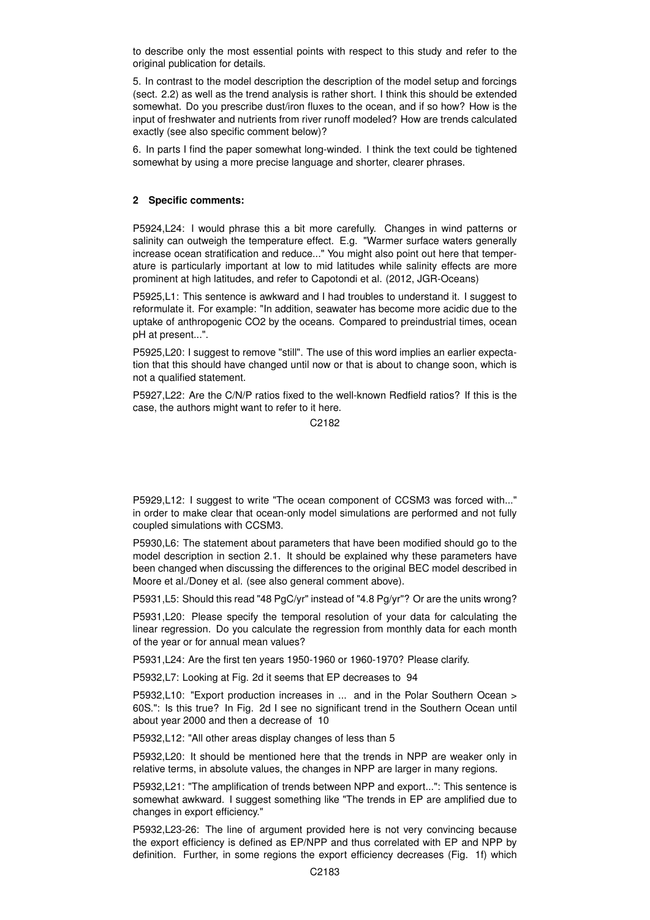to describe only the most essential points with respect to this study and refer to the original publication for details.

5. In contrast to the model description the description of the model setup and forcings (sect. 2.2) as well as the trend analysis is rather short. I think this should be extended somewhat. Do you prescribe dust/iron fluxes to the ocean, and if so how? How is the input of freshwater and nutrients from river runoff modeled? How are trends calculated exactly (see also specific comment below)?

6. In parts I find the paper somewhat long-winded. I think the text could be tightened somewhat by using a more precise language and shorter, clearer phrases.

# **2 Specific comments:**

P5924,L24: I would phrase this a bit more carefully. Changes in wind patterns or salinity can outweigh the temperature effect. E.g. "Warmer surface waters generally increase ocean stratification and reduce..." You might also point out here that temperature is particularly important at low to mid latitudes while salinity effects are more prominent at high latitudes, and refer to Capotondi et al. (2012, JGR-Oceans)

P5925,L1: This sentence is awkward and I had troubles to understand it. I suggest to reformulate it. For example: "In addition, seawater has become more acidic due to the uptake of anthropogenic CO2 by the oceans. Compared to preindustrial times, ocean pH at present...".

P5925,L20: I suggest to remove "still". The use of this word implies an earlier expectation that this should have changed until now or that is about to change soon, which is not a qualified statement.

P5927,L22: Are the C/N/P ratios fixed to the well-known Redfield ratios? If this is the case, the authors might want to refer to it here.

C2182

P5929,L12: I suggest to write "The ocean component of CCSM3 was forced with..." in order to make clear that ocean-only model simulations are performed and not fully coupled simulations with CCSM3.

P5930,L6: The statement about parameters that have been modified should go to the model description in section 2.1. It should be explained why these parameters have been changed when discussing the differences to the original BEC model described in Moore et al./Doney et al. (see also general comment above).

P5931,L5: Should this read "48 PgC/yr" instead of "4.8 Pg/yr"? Or are the units wrong?

P5931,L20: Please specify the temporal resolution of your data for calculating the linear regression. Do you calculate the regression from monthly data for each month of the year or for annual mean values?

P5931,L24: Are the first ten years 1950-1960 or 1960-1970? Please clarify.

P5932,L7: Looking at Fig. 2d it seems that EP decreases to 94

P5932,L10: "Export production increases in ... and in the Polar Southern Ocean > 60S.": Is this true? In Fig. 2d I see no significant trend in the Southern Ocean until about year 2000 and then a decrease of 10

P5932,L12: "All other areas display changes of less than 5

P5932,L20: It should be mentioned here that the trends in NPP are weaker only in relative terms, in absolute values, the changes in NPP are larger in many regions.

P5932,L21: "The amplification of trends between NPP and export...": This sentence is somewhat awkward. I suggest something like "The trends in EP are amplified due to changes in export efficiency."

P5932,L23-26: The line of argument provided here is not very convincing because the export efficiency is defined as EP/NPP and thus correlated with EP and NPP by definition. Further, in some regions the export efficiency decreases (Fig. 1f) which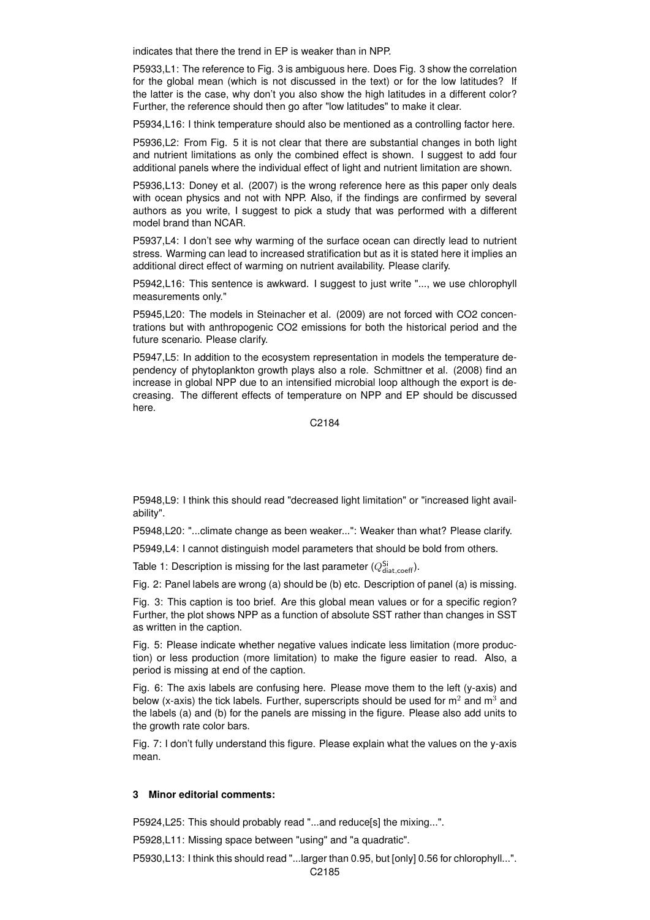indicates that there the trend in EP is weaker than in NPP.

P5933,L1: The reference to Fig. 3 is ambiguous here. Does Fig. 3 show the correlation for the global mean (which is not discussed in the text) or for the low latitudes? If the latter is the case, why don't you also show the high latitudes in a different color? Further, the reference should then go after "low latitudes" to make it clear.

P5934,L16: I think temperature should also be mentioned as a controlling factor here.

P5936,L2: From Fig. 5 it is not clear that there are substantial changes in both light and nutrient limitations as only the combined effect is shown. I suggest to add four additional panels where the individual effect of light and nutrient limitation are shown.

P5936,L13: Doney et al. (2007) is the wrong reference here as this paper only deals with ocean physics and not with NPP. Also, if the findings are confirmed by several authors as you write, I suggest to pick a study that was performed with a different model brand than NCAR.

P5937,L4: I don't see why warming of the surface ocean can directly lead to nutrient stress. Warming can lead to increased stratification but as it is stated here it implies an additional direct effect of warming on nutrient availability. Please clarify.

P5942,L16: This sentence is awkward. I suggest to just write "..., we use chlorophyll measurements only."

P5945,L20: The models in Steinacher et al. (2009) are not forced with CO2 concentrations but with anthropogenic CO2 emissions for both the historical period and the future scenario. Please clarify.

P5947,L5: In addition to the ecosystem representation in models the temperature dependency of phytoplankton growth plays also a role. Schmittner et al. (2008) find an increase in global NPP due to an intensified microbial loop although the export is decreasing. The different effects of temperature on NPP and EP should be discussed here.

C2184

P5948,L9: I think this should read "decreased light limitation" or "increased light availability".

P5948,L20: "...climate change as been weaker...": Weaker than what? Please clarify.

P5949,L4: I cannot distinguish model parameters that should be bold from others.

Table 1: Description is missing for the last parameter  $(Q_{\text{data,coeff}}^{\text{Si}})$ .

Fig. 2: Panel labels are wrong (a) should be (b) etc. Description of panel (a) is missing.

Fig. 3: This caption is too brief. Are this global mean values or for a specific region? Further, the plot shows NPP as a function of absolute SST rather than changes in SST as written in the caption.

Fig. 5: Please indicate whether negative values indicate less limitation (more production) or less production (more limitation) to make the figure easier to read. Also, a period is missing at end of the caption.

Fig. 6: The axis labels are confusing here. Please move them to the left (y-axis) and below (x-axis) the tick labels. Further, superscripts should be used for  $m<sup>2</sup>$  and  $m<sup>3</sup>$  and the labels (a) and (b) for the panels are missing in the figure. Please also add units to the growth rate color bars.

Fig. 7: I don't fully understand this figure. Please explain what the values on the y-axis mean.

# **3 Minor editorial comments:**

P5924,L25: This should probably read "...and reduce[s] the mixing...".

P5928,L11: Missing space between "using" and "a quadratic".

P5930,L13: I think this should read "...larger than 0.95, but [only] 0.56 for chlorophyll...".